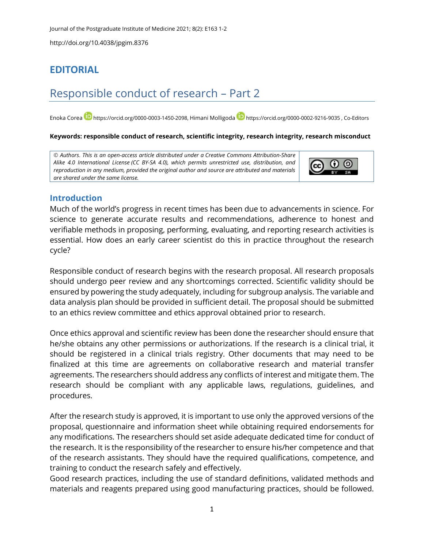http://doi.org/10.4038/jpgim.8376

## **EDITORIAL**

# Responsible conduct of research – Part 2

Enoka Corea **[https://orcid.org/0000-0003-1450-2098,](https://orcid.org/0000-0003-1450-2098) Himani Molligoda <https://orcid.org/0000-0002-9216-9035> , Co-Editors** 

#### **Keywords: responsible conduct of research, scientific integrity, research integrity, research misconduct**

© *Authors*. *This is an open-access article distributed under a [Creative Commons Attribution-Share](http://creativecommons.org/licenses/by-sa/4.0/)  [Alike 4.0 International License](http://creativecommons.org/licenses/by-sa/4.0/) (CC BY-SA 4.0), which permits unrestricted use, distribution, and reproduction in any medium, provided the original author and source are attributed and materials are shared under the same license.* 



### **Introduction**

Much of the world's progress in recent times has been due to advancements in science. For science to generate accurate results and recommendations, adherence to honest and verifiable methods in proposing, performing, evaluating, and reporting research activities is essential. How does an early career scientist do this in practice throughout the research cycle?

Responsible conduct of research begins with the research proposal. All research proposals should undergo peer review and any shortcomings corrected. Scientific validity should be ensured by powering the study adequately, including for subgroup analysis. The variable and data analysis plan should be provided in sufficient detail. The proposal should be submitted to an ethics review committee and ethics approval obtained prior to research.

Once ethics approval and scientific review has been done the researcher should ensure that he/she obtains any other permissions or authorizations. If the research is a clinical trial, it should be registered in a clinical trials registry. Other documents that may need to be finalized at this time are agreements on collaborative research and material transfer agreements. The researchers should address any conflicts of interest and mitigate them. The research should be compliant with any applicable laws, regulations, guidelines, and procedures.

After the research study is approved, it is important to use only the approved versions of the proposal, questionnaire and information sheet while obtaining required endorsements for any modifications. The researchers should set aside adequate dedicated time for conduct of the research. It is the responsibility of the researcher to ensure his/her competence and that of the research assistants. They should have the required qualifications, competence, and training to conduct the research safely and effectively.

Good research practices, including the use of standard definitions, validated methods and materials and reagents prepared using good manufacturing practices, should be followed.